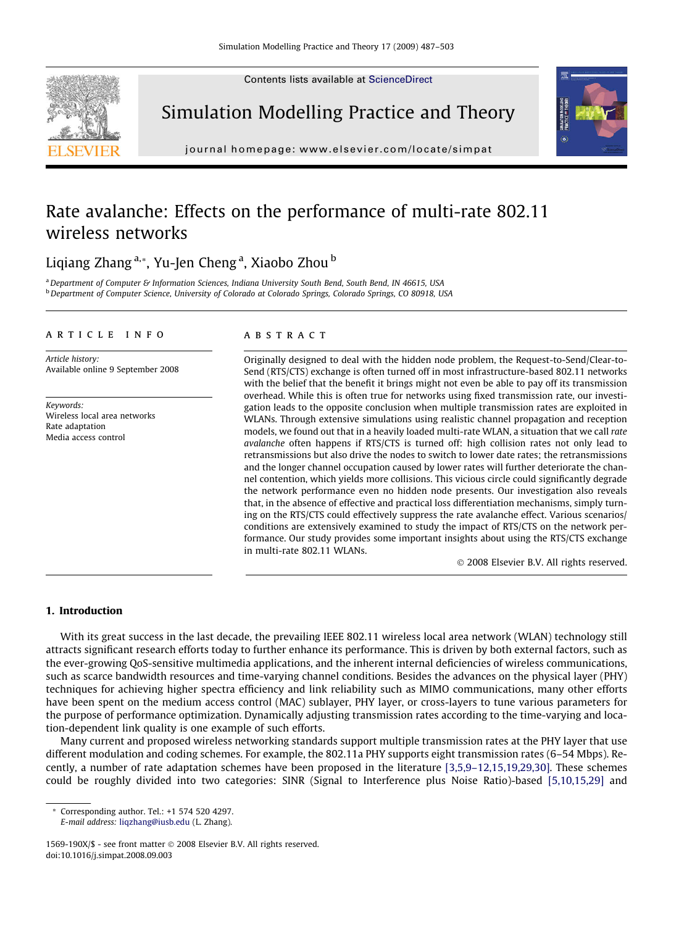Contents lists available at [ScienceDirect](http://www.sciencedirect.com/science/journal/1569190X)



Simulation Modelling Practice and Theory



journal homepage: [www.elsevier.com/locate/simpat](http://www.elsevier.com/locate/simpat)

# Rate avalanche: Effects on the performance of multi-rate 802.11 wireless networks

Liqiang Zhang <sup>a,</sup>\*, Yu-Jen Cheng <sup>a</sup>, Xiaobo Zhou <sup>b</sup>

a Department of Computer & Information Sciences, Indiana University South Bend, South Bend, IN 46615, USA <sup>b</sup> Department of Computer Science, University of Colorado at Colorado Springs, Colorado Springs, CO 80918, USA

#### article info

Article history: Available online 9 September 2008

Keywords: Wireless local area networks Rate adaptation Media access control

#### **ABSTRACT**

Originally designed to deal with the hidden node problem, the Request-to-Send/Clear-to-Send (RTS/CTS) exchange is often turned off in most infrastructure-based 802.11 networks with the belief that the benefit it brings might not even be able to pay off its transmission overhead. While this is often true for networks using fixed transmission rate, our investigation leads to the opposite conclusion when multiple transmission rates are exploited in WLANs. Through extensive simulations using realistic channel propagation and reception models, we found out that in a heavily loaded multi-rate WLAN, a situation that we call rate avalanche often happens if RTS/CTS is turned off: high collision rates not only lead to retransmissions but also drive the nodes to switch to lower date rates; the retransmissions and the longer channel occupation caused by lower rates will further deteriorate the channel contention, which yields more collisions. This vicious circle could significantly degrade the network performance even no hidden node presents. Our investigation also reveals that, in the absence of effective and practical loss differentiation mechanisms, simply turning on the RTS/CTS could effectively suppress the rate avalanche effect. Various scenarios/ conditions are extensively examined to study the impact of RTS/CTS on the network performance. Our study provides some important insights about using the RTS/CTS exchange in multi-rate 802.11 WLANs.

- 2008 Elsevier B.V. All rights reserved.

# 1. Introduction

With its great success in the last decade, the prevailing IEEE 802.11 wireless local area network (WLAN) technology still attracts significant research efforts today to further enhance its performance. This is driven by both external factors, such as the ever-growing QoS-sensitive multimedia applications, and the inherent internal deficiencies of wireless communications, such as scarce bandwidth resources and time-varying channel conditions. Besides the advances on the physical layer (PHY) techniques for achieving higher spectra efficiency and link reliability such as MIMO communications, many other efforts have been spent on the medium access control (MAC) sublayer, PHY layer, or cross-layers to tune various parameters for the purpose of performance optimization. Dynamically adjusting transmission rates according to the time-varying and location-dependent link quality is one example of such efforts.

Many current and proposed wireless networking standards support multiple transmission rates at the PHY layer that use different modulation and coding schemes. For example, the 802.11a PHY supports eight transmission rates (6–54 Mbps). Recently, a number of rate adaptation schemes have been proposed in the literature [\[3,5,9–12,15,19,29,30\]](#page-16-0). These schemes could be roughly divided into two categories: SINR (Signal to Interference plus Noise Ratio)-based [\[5,10,15,29\]](#page-16-0) and

\* Corresponding author. Tel.: +1 574 520 4297. E-mail address: [liqzhang@iusb.edu](mailto:liqzhang@iusb.edu) (L. Zhang).

<sup>1569-190</sup>X/\$ - see front matter © 2008 Elsevier B.V. All rights reserved. doi:10.1016/j.simpat.2008.09.003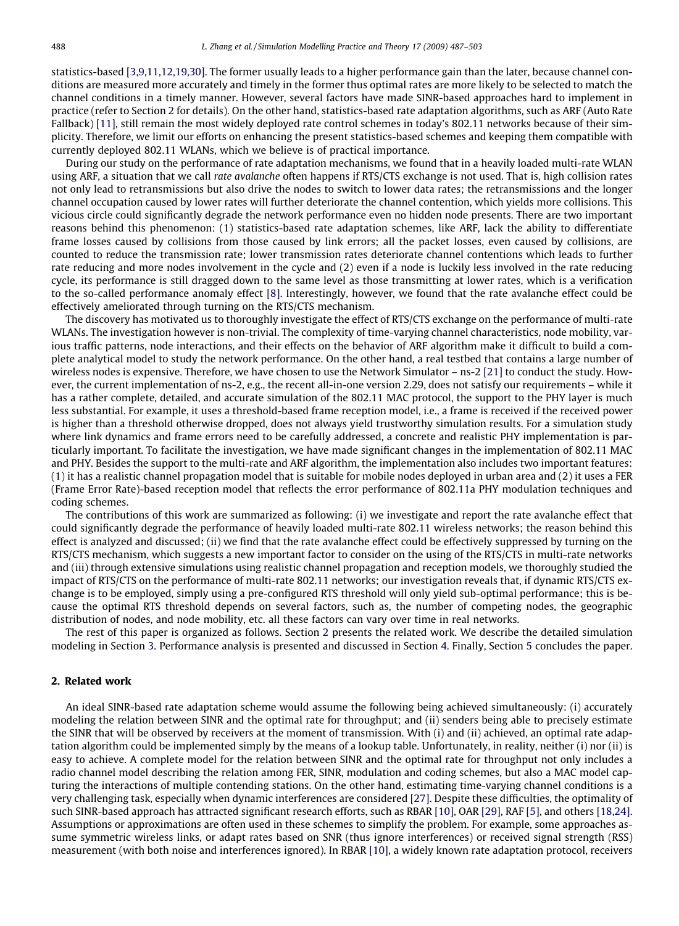statistics-based [\[3,9,11,12,19,30\]](#page-16-0). The former usually leads to a higher performance gain than the later, because channel conditions are measured more accurately and timely in the former thus optimal rates are more likely to be selected to match the channel conditions in a timely manner. However, several factors have made SINR-based approaches hard to implement in practice (refer to Section 2 for details). On the other hand, statistics-based rate adaptation algorithms, such as ARF (Auto Rate Fallback) [\[11\],](#page-16-0) still remain the most widely deployed rate control schemes in today's 802.11 networks because of their simplicity. Therefore, we limit our efforts on enhancing the present statistics-based schemes and keeping them compatible with currently deployed 802.11 WLANs, which we believe is of practical importance.

During our study on the performance of rate adaptation mechanisms, we found that in a heavily loaded multi-rate WLAN using ARF, a situation that we call rate avalanche often happens if RTS/CTS exchange is not used. That is, high collision rates not only lead to retransmissions but also drive the nodes to switch to lower data rates; the retransmissions and the longer channel occupation caused by lower rates will further deteriorate the channel contention, which yields more collisions. This vicious circle could significantly degrade the network performance even no hidden node presents. There are two important reasons behind this phenomenon: (1) statistics-based rate adaptation schemes, like ARF, lack the ability to differentiate frame losses caused by collisions from those caused by link errors; all the packet losses, even caused by collisions, are counted to reduce the transmission rate; lower transmission rates deteriorate channel contentions which leads to further rate reducing and more nodes involvement in the cycle and (2) even if a node is luckily less involved in the rate reducing cycle, its performance is still dragged down to the same level as those transmitting at lower rates, which is a verification to the so-called performance anomaly effect [\[8\].](#page-16-0) Interestingly, however, we found that the rate avalanche effect could be effectively ameliorated through turning on the RTS/CTS mechanism.

The discovery has motivated us to thoroughly investigate the effect of RTS/CTS exchange on the performance of multi-rate WLANs. The investigation however is non-trivial. The complexity of time-varying channel characteristics, node mobility, various traffic patterns, node interactions, and their effects on the behavior of ARF algorithm make it difficult to build a complete analytical model to study the network performance. On the other hand, a real testbed that contains a large number of wireless nodes is expensive. Therefore, we have chosen to use the Network Simulator – ns-2 [\[21\]](#page-16-0) to conduct the study. However, the current implementation of ns-2, e.g., the recent all-in-one version 2.29, does not satisfy our requirements – while it has a rather complete, detailed, and accurate simulation of the 802.11 MAC protocol, the support to the PHY layer is much less substantial. For example, it uses a threshold-based frame reception model, i.e., a frame is received if the received power is higher than a threshold otherwise dropped, does not always yield trustworthy simulation results. For a simulation study where link dynamics and frame errors need to be carefully addressed, a concrete and realistic PHY implementation is particularly important. To facilitate the investigation, we have made significant changes in the implementation of 802.11 MAC and PHY. Besides the support to the multi-rate and ARF algorithm, the implementation also includes two important features: (1) it has a realistic channel propagation model that is suitable for mobile nodes deployed in urban area and (2) it uses a FER (Frame Error Rate)-based reception model that reflects the error performance of 802.11a PHY modulation techniques and coding schemes.

The contributions of this work are summarized as following: (i) we investigate and report the rate avalanche effect that could significantly degrade the performance of heavily loaded multi-rate 802.11 wireless networks; the reason behind this effect is analyzed and discussed; (ii) we find that the rate avalanche effect could be effectively suppressed by turning on the RTS/CTS mechanism, which suggests a new important factor to consider on the using of the RTS/CTS in multi-rate networks and (iii) through extensive simulations using realistic channel propagation and reception models, we thoroughly studied the impact of RTS/CTS on the performance of multi-rate 802.11 networks; our investigation reveals that, if dynamic RTS/CTS exchange is to be employed, simply using a pre-configured RTS threshold will only yield sub-optimal performance; this is because the optimal RTS threshold depends on several factors, such as, the number of competing nodes, the geographic distribution of nodes, and node mobility, etc. all these factors can vary over time in real networks.

The rest of this paper is organized as follows. Section 2 presents the related work. We describe the detailed simulation modeling in Section 3. Performance analysis is presented and discussed in Section 4. Finally, Section 5 concludes the paper.

#### 2. Related work

An ideal SINR-based rate adaptation scheme would assume the following being achieved simultaneously: (i) accurately modeling the relation between SINR and the optimal rate for throughput; and (ii) senders being able to precisely estimate the SINR that will be observed by receivers at the moment of transmission. With (i) and (ii) achieved, an optimal rate adaptation algorithm could be implemented simply by the means of a lookup table. Unfortunately, in reality, neither (i) nor (ii) is easy to achieve. A complete model for the relation between SINR and the optimal rate for throughput not only includes a radio channel model describing the relation among FER, SINR, modulation and coding schemes, but also a MAC model capturing the interactions of multiple contending stations. On the other hand, estimating time-varying channel conditions is a very challenging task, especially when dynamic interferences are considered [\[27\].](#page-16-0) Despite these difficulties, the optimality of such SINR-based approach has attracted significant research efforts, such as RBAR [\[10\],](#page-16-0) OAR [\[29\],](#page-16-0) RAF [\[5\],](#page-16-0) and others [\[18,24\]](#page-16-0). Assumptions or approximations are often used in these schemes to simplify the problem. For example, some approaches assume symmetric wireless links, or adapt rates based on SNR (thus ignore interferences) or received signal strength (RSS) measurement (with both noise and interferences ignored). In RBAR [\[10\],](#page-16-0) a widely known rate adaptation protocol, receivers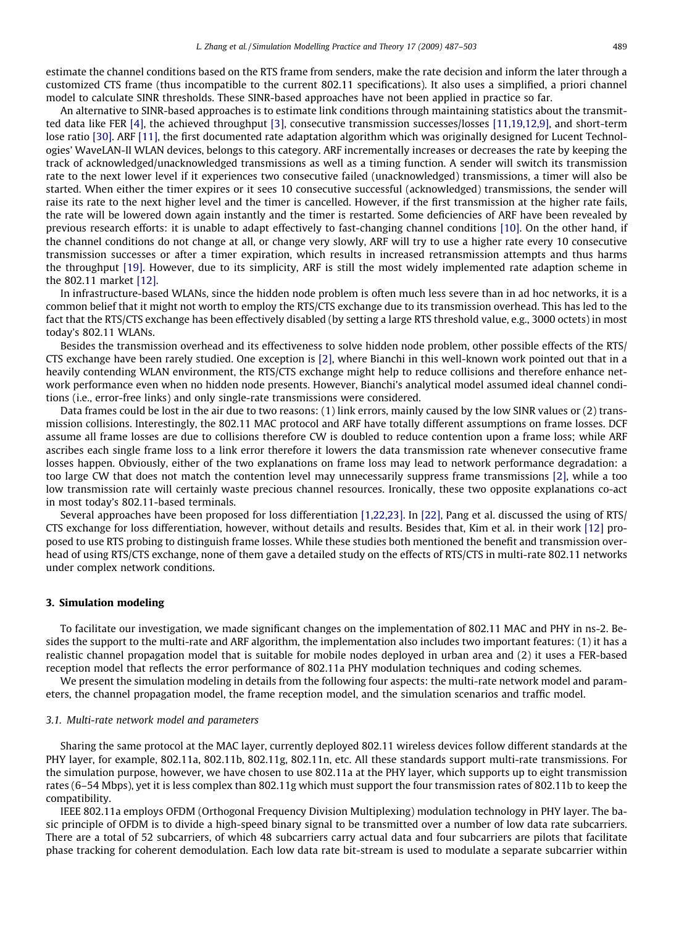estimate the channel conditions based on the RTS frame from senders, make the rate decision and inform the later through a customized CTS frame (thus incompatible to the current 802.11 specifications). It also uses a simplified, a priori channel model to calculate SINR thresholds. These SINR-based approaches have not been applied in practice so far.

An alternative to SINR-based approaches is to estimate link conditions through maintaining statistics about the transmitted data like FER [\[4\]](#page-16-0), the achieved throughput [\[3\],](#page-16-0) consecutive transmission successes/losses [\[11,19,12,9\]](#page-16-0), and short-term lose ratio [\[30\].](#page-16-0) ARF [\[11\]](#page-16-0), the first documented rate adaptation algorithm which was originally designed for Lucent Technologies' WaveLAN-II WLAN devices, belongs to this category. ARF incrementally increases or decreases the rate by keeping the track of acknowledged/unacknowledged transmissions as well as a timing function. A sender will switch its transmission rate to the next lower level if it experiences two consecutive failed (unacknowledged) transmissions, a timer will also be started. When either the timer expires or it sees 10 consecutive successful (acknowledged) transmissions, the sender will raise its rate to the next higher level and the timer is cancelled. However, if the first transmission at the higher rate fails, the rate will be lowered down again instantly and the timer is restarted. Some deficiencies of ARF have been revealed by previous research efforts: it is unable to adapt effectively to fast-changing channel conditions [\[10\].](#page-16-0) On the other hand, if the channel conditions do not change at all, or change very slowly, ARF will try to use a higher rate every 10 consecutive transmission successes or after a timer expiration, which results in increased retransmission attempts and thus harms the throughput [\[19\]](#page-16-0). However, due to its simplicity, ARF is still the most widely implemented rate adaption scheme in the 802.11 market [\[12\]](#page-16-0).

In infrastructure-based WLANs, since the hidden node problem is often much less severe than in ad hoc networks, it is a common belief that it might not worth to employ the RTS/CTS exchange due to its transmission overhead. This has led to the fact that the RTS/CTS exchange has been effectively disabled (by setting a large RTS threshold value, e.g., 3000 octets) in most today's 802.11 WLANs.

Besides the transmission overhead and its effectiveness to solve hidden node problem, other possible effects of the RTS/ CTS exchange have been rarely studied. One exception is [\[2\]](#page-16-0), where Bianchi in this well-known work pointed out that in a heavily contending WLAN environment, the RTS/CTS exchange might help to reduce collisions and therefore enhance network performance even when no hidden node presents. However, Bianchi's analytical model assumed ideal channel conditions (i.e., error-free links) and only single-rate transmissions were considered.

Data frames could be lost in the air due to two reasons: (1) link errors, mainly caused by the low SINR values or (2) transmission collisions. Interestingly, the 802.11 MAC protocol and ARF have totally different assumptions on frame losses. DCF assume all frame losses are due to collisions therefore CW is doubled to reduce contention upon a frame loss; while ARF ascribes each single frame loss to a link error therefore it lowers the data transmission rate whenever consecutive frame losses happen. Obviously, either of the two explanations on frame loss may lead to network performance degradation: a too large CW that does not match the contention level may unnecessarily suppress frame transmissions [\[2\]](#page-16-0), while a too low transmission rate will certainly waste precious channel resources. Ironically, these two opposite explanations co-act in most today's 802.11-based terminals.

Several approaches have been proposed for loss differentiation [\[1,22,23\]](#page-16-0). In [\[22\]](#page-16-0), Pang et al. discussed the using of RTS/ CTS exchange for loss differentiation, however, without details and results. Besides that, Kim et al. in their work [\[12\]](#page-16-0) proposed to use RTS probing to distinguish frame losses. While these studies both mentioned the benefit and transmission overhead of using RTS/CTS exchange, none of them gave a detailed study on the effects of RTS/CTS in multi-rate 802.11 networks under complex network conditions.

### 3. Simulation modeling

To facilitate our investigation, we made significant changes on the implementation of 802.11 MAC and PHY in ns-2. Besides the support to the multi-rate and ARF algorithm, the implementation also includes two important features: (1) it has a realistic channel propagation model that is suitable for mobile nodes deployed in urban area and (2) it uses a FER-based reception model that reflects the error performance of 802.11a PHY modulation techniques and coding schemes.

We present the simulation modeling in details from the following four aspects: the multi-rate network model and parameters, the channel propagation model, the frame reception model, and the simulation scenarios and traffic model.

#### 3.1. Multi-rate network model and parameters

Sharing the same protocol at the MAC layer, currently deployed 802.11 wireless devices follow different standards at the PHY layer, for example, 802.11a, 802.11b, 802.11g, 802.11n, etc. All these standards support multi-rate transmissions. For the simulation purpose, however, we have chosen to use 802.11a at the PHY layer, which supports up to eight transmission rates (6–54 Mbps), yet it is less complex than 802.11g which must support the four transmission rates of 802.11b to keep the compatibility.

IEEE 802.11a employs OFDM (Orthogonal Frequency Division Multiplexing) modulation technology in PHY layer. The basic principle of OFDM is to divide a high-speed binary signal to be transmitted over a number of low data rate subcarriers. There are a total of 52 subcarriers, of which 48 subcarriers carry actual data and four subcarriers are pilots that facilitate phase tracking for coherent demodulation. Each low data rate bit-stream is used to modulate a separate subcarrier within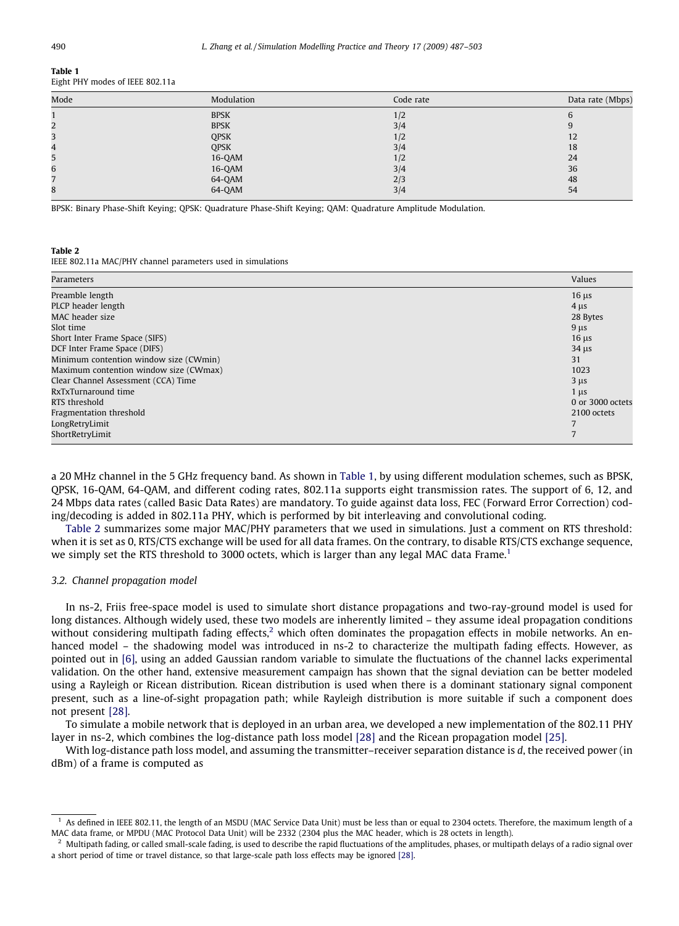# <span id="page-3-0"></span>Table 1

| Eight PHY modes of IEEE 802.11a |  |  |  |
|---------------------------------|--|--|--|
|                                 |  |  |  |

| Mode           | Modulation  | Code rate | Data rate (Mbps) |
|----------------|-------------|-----------|------------------|
|                | <b>BPSK</b> | 1/2       |                  |
| 2              | <b>BPSK</b> | 3/4       |                  |
| 3              | <b>OPSK</b> | 1/2       | 12               |
| $\overline{4}$ | <b>QPSK</b> | 3/4       | 18               |
| 5              | 16-QAM      | 1/2       | 24               |
| 6              | 16-QAM      | 3/4       | 36               |
|                | 64-QAM      | 2/3       | 48               |
| 8              | 64-QAM      | 3/4       | 54               |

BPSK: Binary Phase-Shift Keying; QPSK: Quadrature Phase-Shift Keying; QAM: Quadrature Amplitude Modulation.

#### Table 2

| IEEE 802.11a MAC/PHY channel parameters used in simulations |  |
|-------------------------------------------------------------|--|
|-------------------------------------------------------------|--|

| Parameters                             | Values           |
|----------------------------------------|------------------|
| Preamble length                        | $16 \mu s$       |
| PLCP header length                     | $4 \mu s$        |
| MAC header size                        | 28 Bytes         |
| Slot time                              | $9 \mu s$        |
| Short Inter Frame Space (SIFS)         | $16 \mu s$       |
| DCF Inter Frame Space (DIFS)           | $34 \mu s$       |
| Minimum contention window size (CWmin) | 31               |
| Maximum contention window size (CWmax) | 1023             |
| Clear Channel Assessment (CCA) Time    | $3 \mu s$        |
| RxTxTurnaround time                    | $1 \mu s$        |
| RTS threshold                          | 0 or 3000 octets |
| Fragmentation threshold                | 2100 octets      |
| LongRetryLimit                         |                  |
| ShortRetryLimit                        |                  |

a 20 MHz channel in the 5 GHz frequency band. As shown in Table 1, by using different modulation schemes, such as BPSK, QPSK, 16-QAM, 64-QAM, and different coding rates, 802.11a supports eight transmission rates. The support of 6, 12, and 24 Mbps data rates (called Basic Data Rates) are mandatory. To guide against data loss, FEC (Forward Error Correction) coding/decoding is added in 802.11a PHY, which is performed by bit interleaving and convolutional coding.

Table 2 summarizes some major MAC/PHY parameters that we used in simulations. Just a comment on RTS threshold: when it is set as 0, RTS/CTS exchange will be used for all data frames. On the contrary, to disable RTS/CTS exchange sequence, we simply set the RTS threshold to 3000 octets, which is larger than any legal MAC data Frame.<sup>1</sup>

# 3.2. Channel propagation model

In ns-2, Friis free-space model is used to simulate short distance propagations and two-ray-ground model is used for long distances. Although widely used, these two models are inherently limited – they assume ideal propagation conditions without considering multipath fading effects,<sup>2</sup> which often dominates the propagation effects in mobile networks. An enhanced model – the shadowing model was introduced in ns-2 to characterize the multipath fading effects. However, as pointed out in [\[6\]](#page-16-0), using an added Gaussian random variable to simulate the fluctuations of the channel lacks experimental validation. On the other hand, extensive measurement campaign has shown that the signal deviation can be better modeled using a Rayleigh or Ricean distribution. Ricean distribution is used when there is a dominant stationary signal component present, such as a line-of-sight propagation path; while Rayleigh distribution is more suitable if such a component does not present [\[28\]](#page-16-0).

To simulate a mobile network that is deployed in an urban area, we developed a new implementation of the 802.11 PHY layer in ns-2, which combines the log-distance path loss model [\[28\]](#page-16-0) and the Ricean propagation model [\[25\].](#page-16-0)

With log-distance path loss model, and assuming the transmitter–receiver separation distance is d, the received power (in dBm) of a frame is computed as

<sup>1</sup> As defined in IEEE 802.11, the length of an MSDU (MAC Service Data Unit) must be less than or equal to 2304 octets. Therefore, the maximum length of a MAC data frame, or MPDU (MAC Protocol Data Unit) will be 2332 (2304 plus the MAC header, which is 28 octets in length).

 $^2$  Multipath fading, or called small-scale fading, is used to describe the rapid fluctuations of the amplitudes, phases, or multipath delays of a radio signal over a short period of time or travel distance, so that large-scale path loss effects may be ignored [\[28\].](#page-16-0)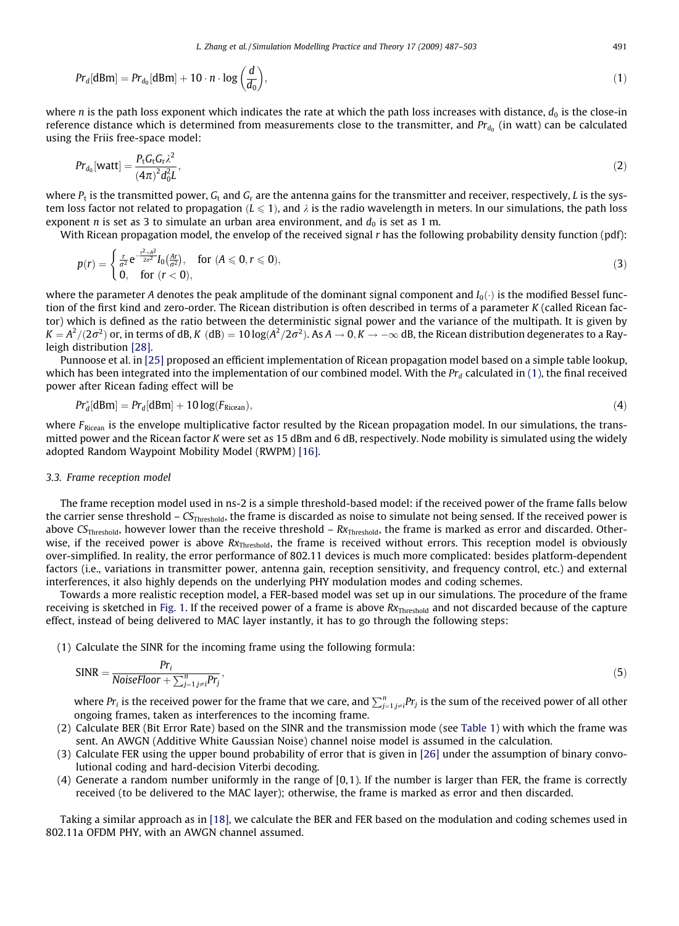<span id="page-4-0"></span>
$$
Pr_d[\text{dBm}] = Pr_{d_0}[\text{dBm}] + 10 \cdot n \cdot \log\left(\frac{d}{d_0}\right),\tag{1}
$$

where *n* is the path loss exponent which indicates the rate at which the path loss increases with distance,  $d_0$  is the close-in reference distance which is determined from measurements close to the transmitter, and  $Pr_{d_0}$  (in watt) can be calculated using the Friis free-space model:

$$
Pr_{d_0}[\text{watt}] = \frac{P_t G_t G_r \lambda^2}{(4\pi)^2 d_0^2 L},\tag{2}
$$

where  $P_t$  is the transmitted power,  $G_t$  and  $G_t$  are the antenna gains for the transmitter and receiver, respectively, L is the system loss factor not related to propagation ( $L \le 1$ ), and  $\lambda$  is the radio wavelength in meters. In our simulations, the path loss exponent *n* is set as 3 to simulate an urban area environment, and  $d_0$  is set as 1 m.

With Ricean propagation model, the envelop of the received signal  $r$  has the following probability density function (pdf):

$$
p(r) = \begin{cases} \frac{r}{\sigma^2} e^{-\frac{r^2 + A^2}{2\sigma^2}} I_0(\frac{Ar}{\sigma^2}), & \text{for } (A \le 0, r \le 0),\\ 0, & \text{for } (r < 0), \end{cases}
$$
(3)

where the parameter A denotes the peak amplitude of the dominant signal component and  $I_0(\cdot)$  is the modified Bessel function of the first kind and zero-order. The Ricean distribution is often described in terms of a parameter K (called Ricean factor) which is defined as the ratio between the deterministic signal power and the variance of the multipath. It is given by  $K=A^2/(2\sigma^2)$  or, in terms of dB,  $K$  (dB)  $=10\log(A^2/2\sigma^2).$  As  $A\to 0, K\to -\infty$  dB, the Ricean distribution degenerates to a Rayleigh distribution [\[28\].](#page-16-0)

Punnoose et al. in [\[25\]](#page-16-0) proposed an efficient implementation of Ricean propagation model based on a simple table lookup, which has been integrated into the implementation of our combined model. With the  $Pr<sub>d</sub>$  calculated in [\(1\)](#page-3-0), the final received power after Ricean fading effect will be

$$
Pr_d^*[dBm] = Pr_d[dBm] + 10 \log(F_{Ricean}), \qquad (4)
$$

where  $F_{\text{Ricean}}$  is the envelope multiplicative factor resulted by the Ricean propagation model. In our simulations, the transmitted power and the Ricean factor K were set as 15 dBm and 6 dB, respectively. Node mobility is simulated using the widely adopted Random Waypoint Mobility Model (RWPM) [\[16\]](#page-16-0).

#### 3.3. Frame reception model

The frame reception model used in ns-2 is a simple threshold-based model: if the received power of the frame falls below the carrier sense threshold –  $CS<sub>Threshold</sub>$ , the frame is discarded as noise to simulate not being sensed. If the received power is above  $CS<sub>Threshold</sub>$ , however lower than the receive threshold –  $Rx<sub>Threshold</sub>$ , the frame is marked as error and discarded. Otherwise, if the received power is above  $Rx_{\text{Threshold}}$ , the frame is received without errors. This reception model is obviously over-simplified. In reality, the error performance of 802.11 devices is much more complicated: besides platform-dependent factors (i.e., variations in transmitter power, antenna gain, reception sensitivity, and frequency control, etc.) and external interferences, it also highly depends on the underlying PHY modulation modes and coding schemes.

Towards a more realistic reception model, a FER-based model was set up in our simulations. The procedure of the frame receiving is sketched in [Fig. 1.](#page-5-0) If the received power of a frame is above  $Rx<sub>Threshold</sub>$  and not discarded because of the capture effect, instead of being delivered to MAC layer instantly, it has to go through the following steps:

(1) Calculate the SINR for the incoming frame using the following formula:

$$
SINR = \frac{Pr_i}{NoiseFloor + \sum_{j=1, j \neq i}^{n} Pr_j},
$$
\n(5)

where  $Pr_i$  is the received power for the frame that we care, and  $\sum_{j=1,j\neq i}^n Pr_j$  is the sum of the received power of all other ongoing frames, taken as interferences to the incoming frame.

- (2) Calculate BER (Bit Error Rate) based on the SINR and the transmission mode (see [Table 1\)](#page-3-0) with which the frame was sent. An AWGN (Additive White Gaussian Noise) channel noise model is assumed in the calculation.
- (3) Calculate FER using the upper bound probability of error that is given in [\[26\]](#page-16-0) under the assumption of binary convolutional coding and hard-decision Viterbi decoding.
- (4) Generate a random number uniformly in the range of [0,1). If the number is larger than FER, the frame is correctly received (to be delivered to the MAC layer); otherwise, the frame is marked as error and then discarded.

Taking a similar approach as in [\[18\],](#page-16-0) we calculate the BER and FER based on the modulation and coding schemes used in 802.11a OFDM PHY, with an AWGN channel assumed.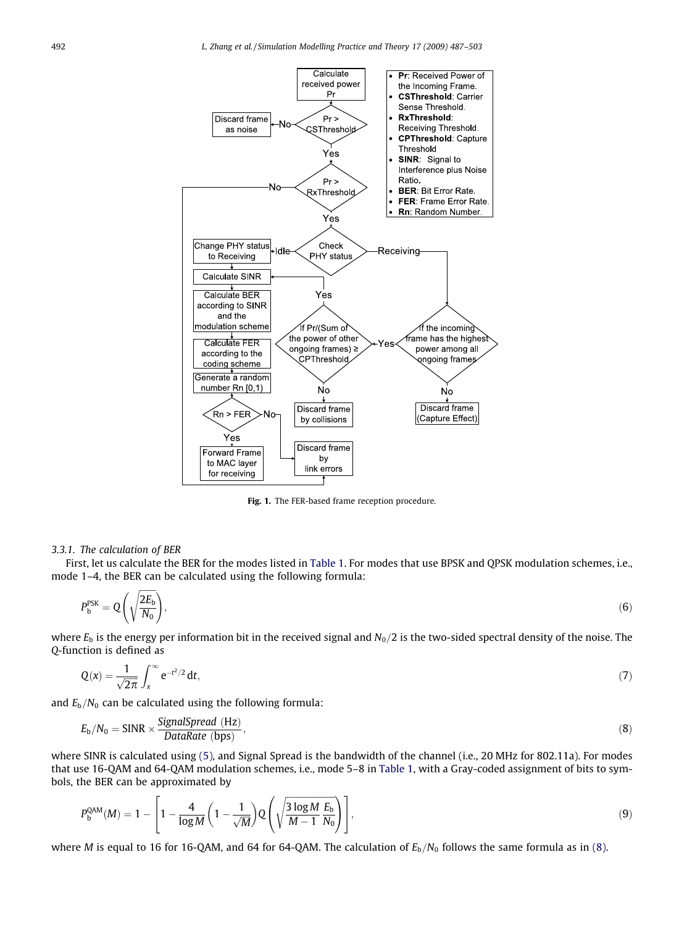<span id="page-5-0"></span>

Fig. 1. The FER-based frame reception procedure.

# 3.3.1. The calculation of BER

First, let us calculate the BER for the modes listed in [Table 1](#page-3-0). For modes that use BPSK and QPSK modulation schemes, i.e., mode 1–4, the BER can be calculated using the following formula:

$$
P_b^{\text{PSK}} = Q\left(\sqrt{\frac{2E_b}{N_0}}\right),\tag{6}
$$

where  $E<sub>b</sub>$  is the energy per information bit in the received signal and  $N_0/2$  is the two-sided spectral density of the noise. The Q-function is defined as

$$
Q(x) = \frac{1}{\sqrt{2\pi}} \int_{x}^{\infty} e^{-t^2/2} dt,
$$
\n(7)

and  $E_{\rm b}/N_0$  can be calculated using the following formula:

$$
E_{b}/N_{0} = \text{SINR} \times \frac{\text{SignalSpeed (Hz)}}{\text{DataRate (bps)}},
$$
\n(8)

where SINR is calculated using [\(5\),](#page-4-0) and Signal Spread is the bandwidth of the channel (i.e., 20 MHz for 802.11a). For modes that use 16-QAM and 64-QAM modulation schemes, i.e., mode 5–8 in [Table 1](#page-3-0), with a Gray-coded assignment of bits to symbols, the BER can be approximated by

$$
P_b^{\text{QAM}}(M) = 1 - \left[1 - \frac{4}{\log M} \left(1 - \frac{1}{\sqrt{M}}\right) Q\left(\sqrt{\frac{3 \log M}{M - 1} \frac{E_b}{N_0}}\right)\right],\tag{9}
$$

where M is equal to 16 for 16-QAM, and 64 for 64-QAM. The calculation of  $E_{\rm b}/N_0$  follows the same formula as in (8).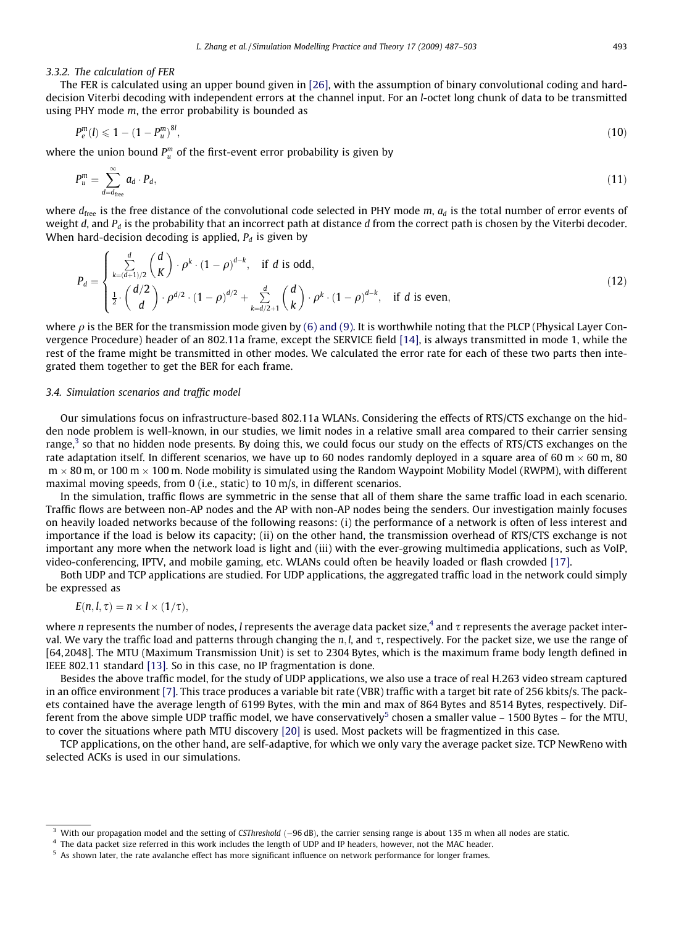#### 3.3.2. The calculation of FER

The FER is calculated using an upper bound given in [\[26\]](#page-16-0), with the assumption of binary convolutional coding and harddecision Viterbi decoding with independent errors at the channel input. For an l-octet long chunk of data to be transmitted using PHY mode m, the error probability is bounded as

$$
P_e^m(l) \leq 1 - (1 - P_u^m)^{8l},\tag{10}
$$

where the union bound  $P_u^m$  of the first-event error probability is given by

$$
P_u^m = \sum_{d=d_{\text{free}}}^{\infty} a_d \cdot P_d,\tag{11}
$$

where  $d_{\text{free}}$  is the free distance of the convolutional code selected in PHY mode m,  $a_d$  is the total number of error events of weight d, and  $P_d$  is the probability that an incorrect path at distance d from the correct path is chosen by the Viterbi decoder. When hard-decision decoding is applied,  $P_d$  is given by

$$
P_d = \begin{cases} \sum_{k=(d+1)/2}^d \binom{d}{k} \cdot \rho^k \cdot (1-\rho)^{d-k}, & \text{if } d \text{ is odd,} \\ \frac{1}{2} \cdot \binom{d/2}{d} \cdot \rho^{d/2} \cdot (1-\rho)^{d/2} + \sum_{k=d/2+1}^d \binom{d}{k} \cdot \rho^k \cdot (1-\rho)^{d-k}, & \text{if } d \text{ is even,} \end{cases}
$$
(12)

where  $\rho$  is the BER for the transmission mode given by [\(6\) and \(9\)](#page-5-0). It is worthwhile noting that the PLCP (Physical Layer Convergence Procedure) header of an 802.11a frame, except the SERVICE field [\[14\],](#page-16-0) is always transmitted in mode 1, while the rest of the frame might be transmitted in other modes. We calculated the error rate for each of these two parts then integrated them together to get the BER for each frame.

#### 3.4. Simulation scenarios and traffic model

-

Our simulations focus on infrastructure-based 802.11a WLANs. Considering the effects of RTS/CTS exchange on the hidden node problem is well-known, in our studies, we limit nodes in a relative small area compared to their carrier sensing range, $3$  so that no hidden node presents. By doing this, we could focus our study on the effects of RTS/CTS exchanges on the rate adaptation itself. In different scenarios, we have up to 60 nodes randomly deployed in a square area of 60 m  $\times$  60 m, 80  $m \times 80$  m, or 100 m  $\times$  100 m. Node mobility is simulated using the Random Waypoint Mobility Model (RWPM), with different maximal moving speeds, from 0 (i.e., static) to 10 m/s, in different scenarios.

In the simulation, traffic flows are symmetric in the sense that all of them share the same traffic load in each scenario. Traffic flows are between non-AP nodes and the AP with non-AP nodes being the senders. Our investigation mainly focuses on heavily loaded networks because of the following reasons: (i) the performance of a network is often of less interest and importance if the load is below its capacity; (ii) on the other hand, the transmission overhead of RTS/CTS exchange is not important any more when the network load is light and (iii) with the ever-growing multimedia applications, such as VoIP, video-conferencing, IPTV, and mobile gaming, etc. WLANs could often be heavily loaded or flash crowded [\[17\]](#page-16-0).

Both UDP and TCP applications are studied. For UDP applications, the aggregated traffic load in the network could simply be expressed as

$$
E(n, l, \tau) = n \times l \times (1/\tau),
$$

where n represents the number of nodes, *l* represents the average data packet size,<sup>4</sup> and  $\tau$  represents the average packet interval. We vary the traffic load and patterns through changing the  $n, l$ , and  $\tau$ , respectively. For the packet size, we use the range of [64, 2048]. The MTU (Maximum Transmission Unit) is set to 2304 Bytes, which is the maximum frame body length defined in IEEE 802.11 standard [\[13\]](#page-16-0). So in this case, no IP fragmentation is done.

Besides the above traffic model, for the study of UDP applications, we also use a trace of real H.263 video stream captured in an office environment [\[7\].](#page-16-0) This trace produces a variable bit rate (VBR) traffic with a target bit rate of 256 kbits/s. The packets contained have the average length of 6199 Bytes, with the min and max of 864 Bytes and 8514 Bytes, respectively. Different from the above simple UDP traffic model, we have conservatively<sup>5</sup> chosen a smaller value – 1500 Bytes – for the MTU, to cover the situations where path MTU discovery [\[20\]](#page-16-0) is used. Most packets will be fragmentized in this case.

TCP applications, on the other hand, are self-adaptive, for which we only vary the average packet size. TCP NewReno with selected ACKs is used in our simulations.

With our propagation model and the setting of CSThreshold  $(-96$  dB), the carrier sensing range is about 135 m when all nodes are static.

<sup>4</sup> The data packet size referred in this work includes the length of UDP and IP headers, however, not the MAC header.

<sup>&</sup>lt;sup>5</sup> As shown later, the rate avalanche effect has more significant influence on network performance for longer frames.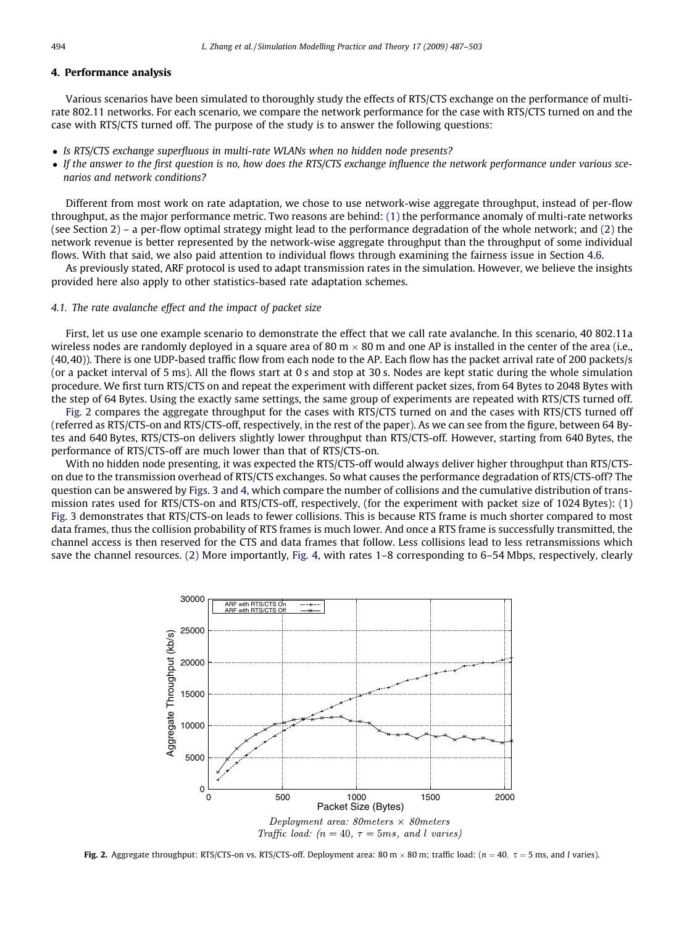# <span id="page-7-0"></span>4. Performance analysis

Various scenarios have been simulated to thoroughly study the effects of RTS/CTS exchange on the performance of multirate 802.11 networks. For each scenario, we compare the network performance for the case with RTS/CTS turned on and the case with RTS/CTS turned off. The purpose of the study is to answer the following questions:

- Is RTS/CTS exchange superfluous in multi-rate WLANs when no hidden node presents?
- If the answer to the first question is no, how does the RTS/CTS exchange influence the network performance under various scenarios and network conditions?

Different from most work on rate adaptation, we chose to use network-wise aggregate throughput, instead of per-flow throughput, as the major performance metric. Two reasons are behind: [\(1\)](#page-3-0) the performance anomaly of multi-rate networks (see Section 2) – a per-flow optimal strategy might lead to the performance degradation of the whole network; and [\(2\)](#page-4-0) the network revenue is better represented by the network-wise aggregate throughput than the throughput of some individual flows. With that said, we also paid attention to individual flows through examining the fairness issue in Section 4.6.

As previously stated, ARF protocol is used to adapt transmission rates in the simulation. However, we believe the insights provided here also apply to other statistics-based rate adaptation schemes.

#### 4.1. The rate avalanche effect and the impact of packet size

First, let us use one example scenario to demonstrate the effect that we call rate avalanche. In this scenario, 40 802.11a wireless nodes are randomly deployed in a square area of 80 m  $\times$  80 m and one AP is installed in the center of the area (i.e., (40,40)). There is one UDP-based traffic flow from each node to the AP. Each flow has the packet arrival rate of 200 packets/s (or a packet interval of 5 ms). All the flows start at 0 s and stop at 30 s. Nodes are kept static during the whole simulation procedure. We first turn RTS/CTS on and repeat the experiment with different packet sizes, from 64 Bytes to 2048 Bytes with the step of 64 Bytes. Using the exactly same settings, the same group of experiments are repeated with RTS/CTS turned off.

Fig. 2 compares the aggregate throughput for the cases with RTS/CTS turned on and the cases with RTS/CTS turned off (referred as RTS/CTS-on and RTS/CTS-off, respectively, in the rest of the paper). As we can see from the figure, between 64 Bytes and 640 Bytes, RTS/CTS-on delivers slightly lower throughput than RTS/CTS-off. However, starting from 640 Bytes, the performance of RTS/CTS-off are much lower than that of RTS/CTS-on.

With no hidden node presenting, it was expected the RTS/CTS-off would always deliver higher throughput than RTS/CTSon due to the transmission overhead of RTS/CTS exchanges. So what causes the performance degradation of RTS/CTS-off? The question can be answered by [Figs. 3 and 4,](#page-8-0) which compare the number of collisions and the cumulative distribution of transmission rates used for RTS/CTS-on and RTS/CTS-off, respectively, (for the experiment with packet size of 1024 Bytes): [\(1\)](#page-3-0) [Fig. 3](#page-8-0) demonstrates that RTS/CTS-on leads to fewer collisions. This is because RTS frame is much shorter compared to most data frames, thus the collision probability of RTS frames is much lower. And once a RTS frame is successfully transmitted, the channel access is then reserved for the CTS and data frames that follow. Less collisions lead to less retransmissions which save the channel resources. [\(2\)](#page-4-0) More importantly, [Fig. 4](#page-8-0), with rates 1–8 corresponding to 6–54 Mbps, respectively, clearly



Fig. 2. Aggregate throughput: RTS/CTS-on vs. RTS/CTS-off. Deployment area: 80 m  $\times$  80 m; traffic load: ( $n = 40$ ,  $\tau = 5$  ms, and l varies).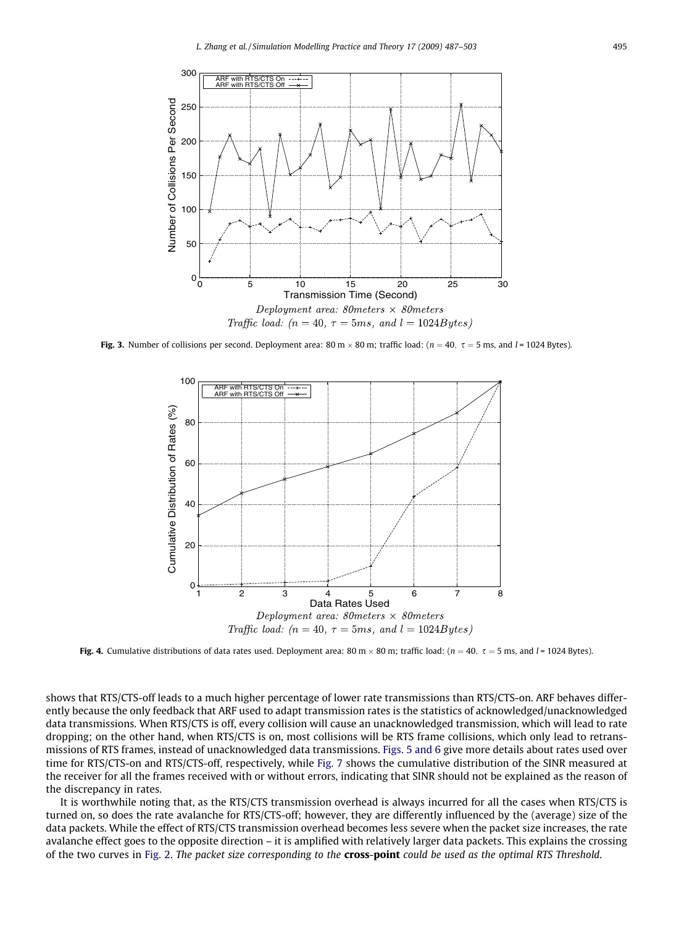<span id="page-8-0"></span>

Fig. 3. Number of collisions per second. Deployment area: 80 m  $\times$  80 m; traffic load: (n = 40,  $\tau$  = 5 ms, and l = 1024 Bytes).



Fig. 4. Cumulative distributions of data rates used. Deployment area: 80 m  $\times$  80 m; traffic load: ( $n = 40$ ,  $\tau = 5$  ms, and l = 1024 Bytes).

shows that RTS/CTS-off leads to a much higher percentage of lower rate transmissions than RTS/CTS-on. ARF behaves differently because the only feedback that ARF used to adapt transmission rates is the statistics of acknowledged/unacknowledged data transmissions. When RTS/CTS is off, every collision will cause an unacknowledged transmission, which will lead to rate dropping; on the other hand, when RTS/CTS is on, most collisions will be RTS frame collisions, which only lead to retransmissions of RTS frames, instead of unacknowledged data transmissions. [Figs. 5 and 6](#page-9-0) give more details about rates used over time for RTS/CTS-on and RTS/CTS-off, respectively, while [Fig. 7](#page-10-0) shows the cumulative distribution of the SINR measured at the receiver for all the frames received with or without errors, indicating that SINR should not be explained as the reason of the discrepancy in rates.

It is worthwhile noting that, as the RTS/CTS transmission overhead is always incurred for all the cases when RTS/CTS is turned on, so does the rate avalanche for RTS/CTS-off; however, they are differently influenced by the (average) size of the data packets. While the effect of RTS/CTS transmission overhead becomes less severe when the packet size increases, the rate avalanche effect goes to the opposite direction – it is amplified with relatively larger data packets. This explains the crossing of the two curves in [Fig. 2.](#page-7-0) The packet size corresponding to the **cross-point** could be used as the optimal RTS Threshold.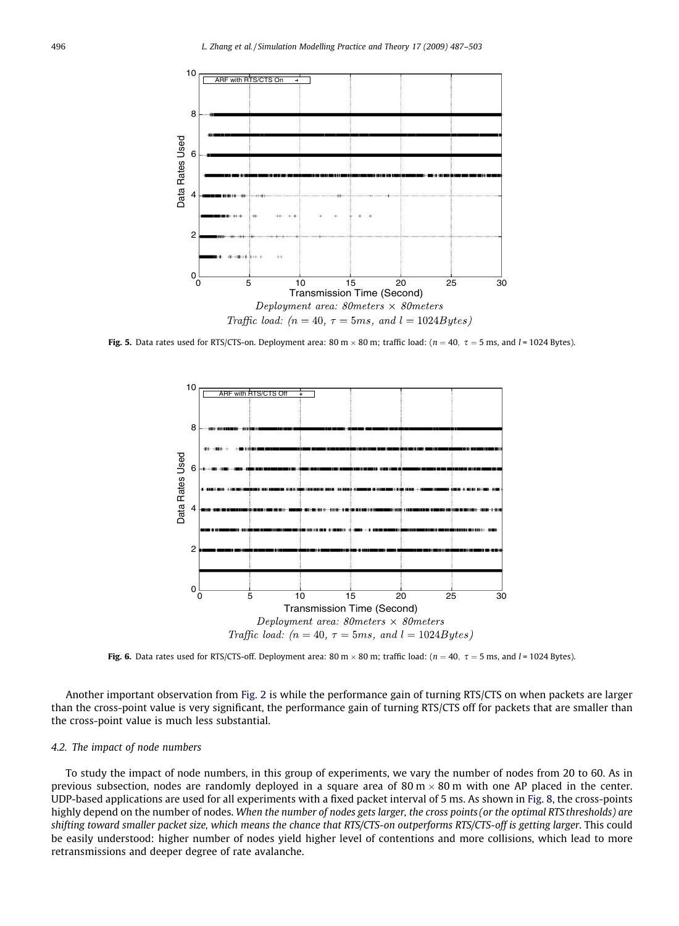<span id="page-9-0"></span>

Fig. 5. Data rates used for RTS/CTS-on. Deployment area: 80 m  $\times$  80 m; traffic load: (n = 40,  $\tau$  = 5 ms, and l = 1024 Bytes).



Fig. 6. Data rates used for RTS/CTS-off. Deployment area: 80 m  $\times$  80 m; traffic load: (n = 40,  $\tau$  = 5 ms, and l = 1024 Bytes).

Another important observation from [Fig. 2](#page-7-0) is while the performance gain of turning RTS/CTS on when packets are larger than the cross-point value is very significant, the performance gain of turning RTS/CTS off for packets that are smaller than the cross-point value is much less substantial.

#### 4.2. The impact of node numbers

To study the impact of node numbers, in this group of experiments, we vary the number of nodes from 20 to 60. As in previous subsection, nodes are randomly deployed in a square area of  $80 \text{ m} \times 80 \text{ m}$  with one AP placed in the center. UDP-based applications are used for all experiments with a fixed packet interval of 5 ms. As shown in [Fig. 8](#page-10-0), the cross-points highly depend on the number of nodes. When the number of nodes gets larger, the cross points (or the optimal RTS thresholds) are shifting toward smaller packet size, which means the chance that RTS/CTS-on outperforms RTS/CTS-off is getting larger. This could be easily understood: higher number of nodes yield higher level of contentions and more collisions, which lead to more retransmissions and deeper degree of rate avalanche.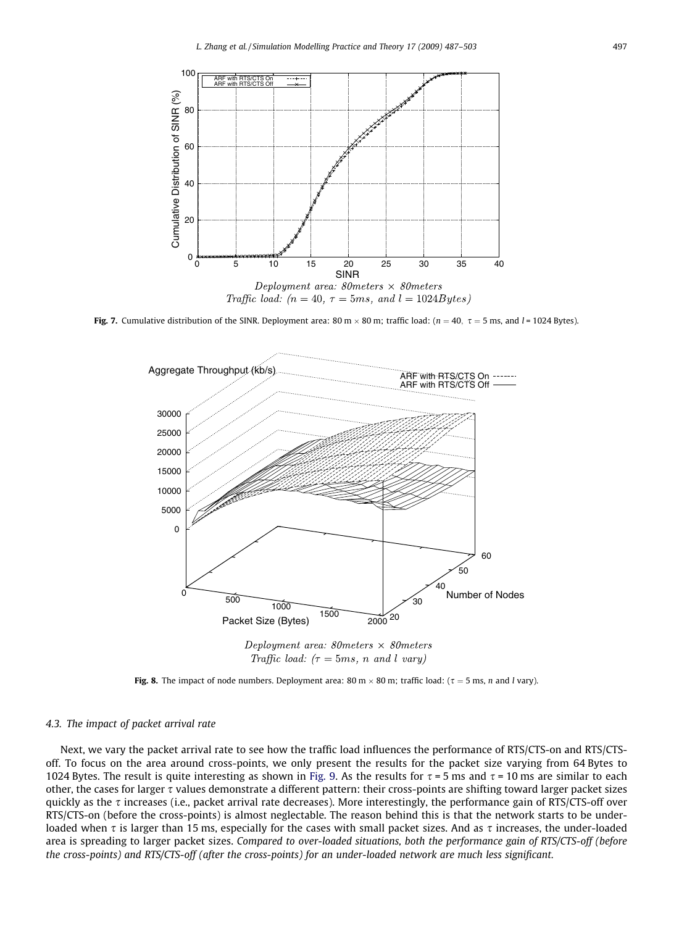<span id="page-10-0"></span>

Fig. 7. Cumulative distribution of the SINR. Deployment area: 80 m  $\times$  80 m; traffic load: (n = 40,  $\tau$  = 5 ms, and l = 1024 Bytes).



Traffic load:  $(\tau = 5ms, n \text{ and } l \text{ vary})$ 

Fig. 8. The impact of node numbers. Deployment area: 80 m  $\times$  80 m; traffic load: ( $\tau$  = 5 ms, n and l vary).

# 4.3. The impact of packet arrival rate

Next, we vary the packet arrival rate to see how the traffic load influences the performance of RTS/CTS-on and RTS/CTSoff. To focus on the area around cross-points, we only present the results for the packet size varying from 64 Bytes to 1024 Bytes. The result is quite interesting as shown in [Fig. 9](#page-11-0). As the results for  $\tau$  = 5 ms and  $\tau$  = 10 ms are similar to each other, the cases for larger  $\tau$  values demonstrate a different pattern: their cross-points are shifting toward larger packet sizes quickly as the  $\tau$  increases (i.e., packet arrival rate decreases). More interestingly, the performance gain of RTS/CTS-off over RTS/CTS-on (before the cross-points) is almost neglectable. The reason behind this is that the network starts to be underloaded when  $\tau$  is larger than 15 ms, especially for the cases with small packet sizes. And as  $\tau$  increases, the under-loaded area is spreading to larger packet sizes. Compared to over-loaded situations, both the performance gain of RTS/CTS-off (before the cross-points) and RTS/CTS-off (after the cross-points) for an under-loaded network are much less significant.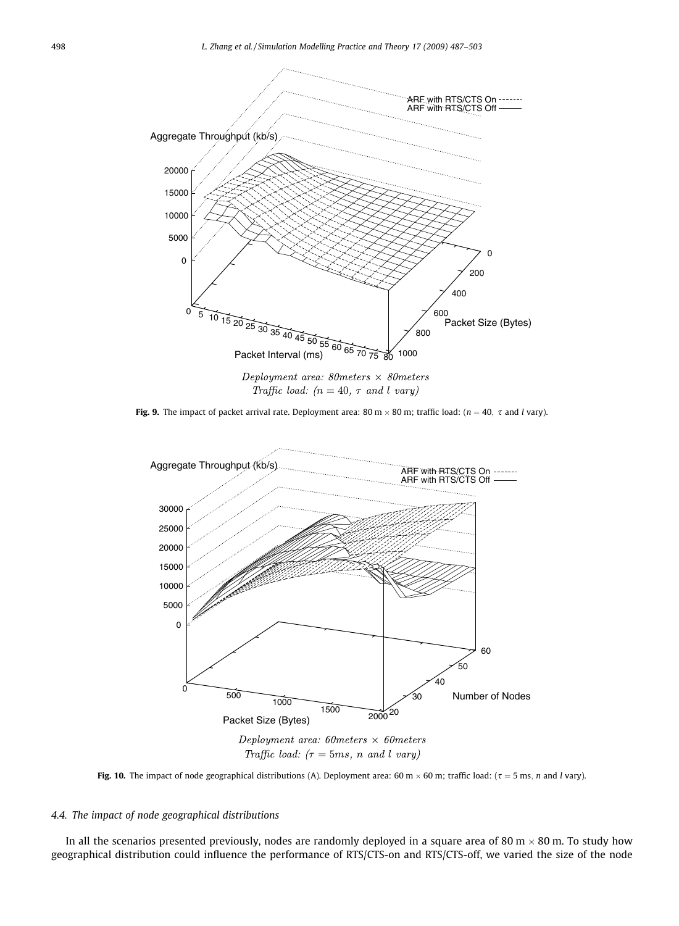<span id="page-11-0"></span>

Traffic load:  $(n = 40, \tau \text{ and } l \text{ vary})$ 

Fig. 9. The impact of packet arrival rate. Deployment area: 80 m  $\times$  80 m; traffic load: (n = 40,  $\tau$  and l vary).



Fig. 10. The impact of node geographical distributions (A). Deployment area: 60 m  $\times$  60 m; traffic load: ( $\tau$  = 5 ms, n and l vary).

#### 4.4. The impact of node geographical distributions

In all the scenarios presented previously, nodes are randomly deployed in a square area of 80 m  $\times$  80 m. To study how geographical distribution could influence the performance of RTS/CTS-on and RTS/CTS-off, we varied the size of the node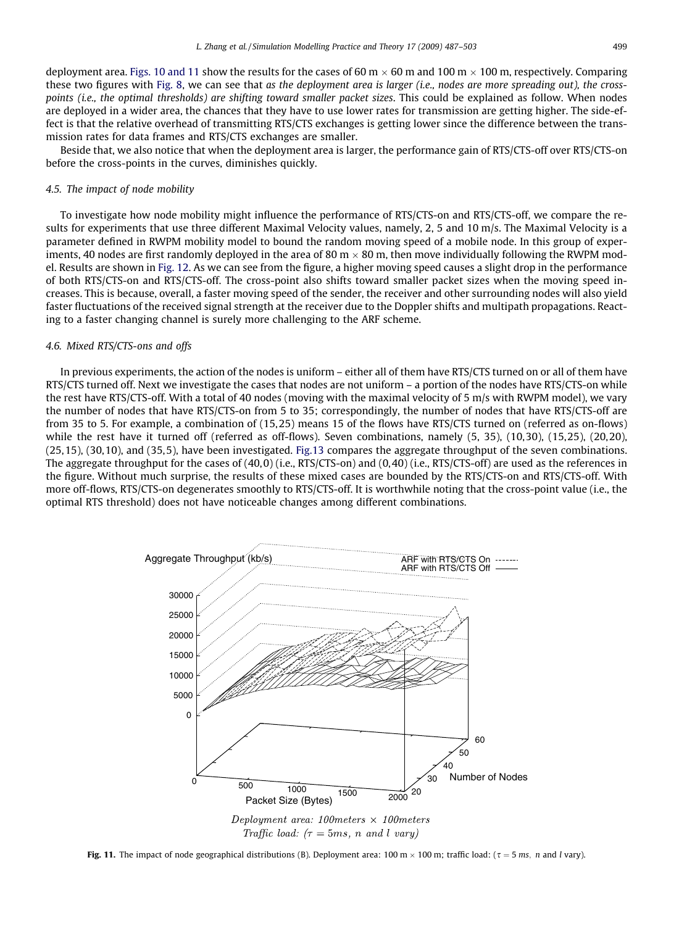deployment area. [Figs. 10 and 11](#page-11-0) show the results for the cases of 60 m  $\times$  60 m and 100 m  $\times$  100 m, respectively. Comparing these two figures with [Fig. 8](#page-10-0), we can see that as the deployment area is larger (i.e., nodes are more spreading out), the crosspoints (i.e., the optimal thresholds) are shifting toward smaller packet sizes. This could be explained as follow. When nodes are deployed in a wider area, the chances that they have to use lower rates for transmission are getting higher. The side-effect is that the relative overhead of transmitting RTS/CTS exchanges is getting lower since the difference between the transmission rates for data frames and RTS/CTS exchanges are smaller.

Beside that, we also notice that when the deployment area is larger, the performance gain of RTS/CTS-off over RTS/CTS-on before the cross-points in the curves, diminishes quickly.

# 4.5. The impact of node mobility

To investigate how node mobility might influence the performance of RTS/CTS-on and RTS/CTS-off, we compare the results for experiments that use three different Maximal Velocity values, namely, 2, 5 and 10 m/s. The Maximal Velocity is a parameter defined in RWPM mobility model to bound the random moving speed of a mobile node. In this group of experiments, 40 nodes are first randomly deployed in the area of 80 m  $\times$  80 m, then move individually following the RWPM model. Results are shown in [Fig. 12](#page-13-0). As we can see from the figure, a higher moving speed causes a slight drop in the performance of both RTS/CTS-on and RTS/CTS-off. The cross-point also shifts toward smaller packet sizes when the moving speed increases. This is because, overall, a faster moving speed of the sender, the receiver and other surrounding nodes will also yield faster fluctuations of the received signal strength at the receiver due to the Doppler shifts and multipath propagations. Reacting to a faster changing channel is surely more challenging to the ARF scheme.

#### 4.6. Mixed RTS/CTS-ons and offs

In previous experiments, the action of the nodes is uniform – either all of them have RTS/CTS turned on or all of them have RTS/CTS turned off. Next we investigate the cases that nodes are not uniform – a portion of the nodes have RTS/CTS-on while the rest have RTS/CTS-off. With a total of 40 nodes (moving with the maximal velocity of 5 m/s with RWPM model), we vary the number of nodes that have RTS/CTS-on from 5 to 35; correspondingly, the number of nodes that have RTS/CTS-off are from 35 to 5. For example, a combination of (15,25) means 15 of the flows have RTS/CTS turned on (referred as on-flows) while the rest have it turned off (referred as off-flows). Seven combinations, namely (5, 35), (10,30), (15,25), (20,20), (25,15), (30,10), and (35,5), have been investigated. [Fig.13](#page-13-0) compares the aggregate throughput of the seven combinations. The aggregate throughput for the cases of (40,0) (i.e., RTS/CTS-on) and (0, 40) (i.e., RTS/CTS-off) are used as the references in the figure. Without much surprise, the results of these mixed cases are bounded by the RTS/CTS-on and RTS/CTS-off. With more off-flows, RTS/CTS-on degenerates smoothly to RTS/CTS-off. It is worthwhile noting that the cross-point value (i.e., the optimal RTS threshold) does not have noticeable changes among different combinations.



Fig. 11. The impact of node geographical distributions (B). Deployment area: 100 m  $\times$  100 m; traffic load: ( $\tau = 5$  ms, n and l vary).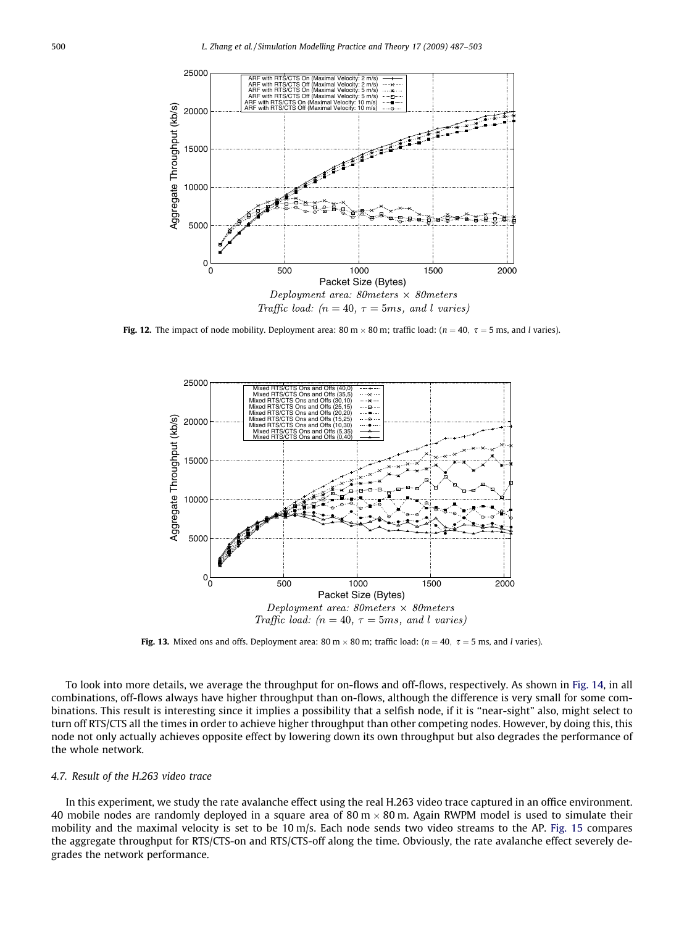<span id="page-13-0"></span>

Fig. 12. The impact of node mobility. Deployment area: 80 m  $\times$  80 m; traffic load: (n = 40,  $\tau$  = 5 ms, and l varies).



Fig. 13. Mixed ons and offs. Deployment area: 80 m  $\times$  80 m; traffic load: (n = 40,  $\tau$  = 5 ms, and l varies).

To look into more details, we average the throughput for on-flows and off-flows, respectively. As shown in [Fig. 14](#page-14-0), in all combinations, off-flows always have higher throughput than on-flows, although the difference is very small for some combinations. This result is interesting since it implies a possibility that a selfish node, if it is ''near-sight" also, might select to turn off RTS/CTS all the times in order to achieve higher throughput than other competing nodes. However, by doing this, this node not only actually achieves opposite effect by lowering down its own throughput but also degrades the performance of the whole network.

#### 4.7. Result of the H.263 video trace

In this experiment, we study the rate avalanche effect using the real H.263 video trace captured in an office environment. 40 mobile nodes are randomly deployed in a square area of 80 m  $\times$  80 m. Again RWPM model is used to simulate their mobility and the maximal velocity is set to be 10 m/s. Each node sends two video streams to the AP. [Fig. 15](#page-14-0) compares the aggregate throughput for RTS/CTS-on and RTS/CTS-off along the time. Obviously, the rate avalanche effect severely degrades the network performance.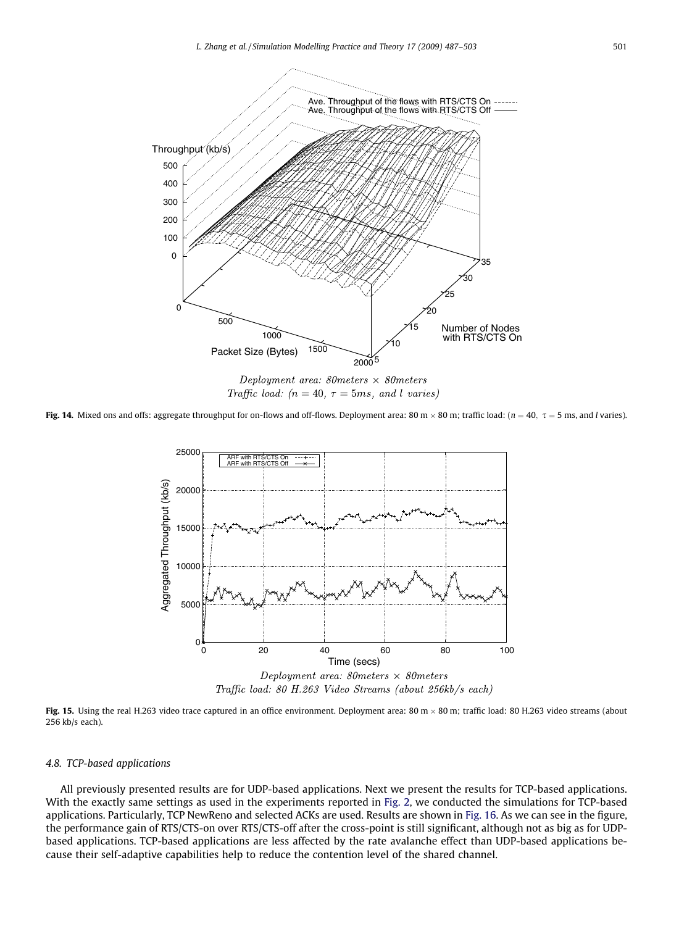<span id="page-14-0"></span>

Deployment area: 80meters  $\times$  80meters Traffic load:  $(n = 40, \tau = 5ms, and l varies)$ 

Fig. 14. Mixed ons and offs: aggregate throughput for on-flows and off-flows. Deployment area: 80 m  $\times$  80 m; traffic load: (n = 40,  $\tau$  = 5 ms, and l varies).



Fig. 15. Using the real H.263 video trace captured in an office environment. Deployment area:  $80 \text{ m} \times 80 \text{ m}$ ; traffic load:  $80 \text{ H}$ .263 video streams (about 256 kb/s each).

# 4.8. TCP-based applications

All previously presented results are for UDP-based applications. Next we present the results for TCP-based applications. With the exactly same settings as used in the experiments reported in [Fig. 2,](#page-7-0) we conducted the simulations for TCP-based applications. Particularly, TCP NewReno and selected ACKs are used. Results are shown in [Fig. 16.](#page-15-0) As we can see in the figure, the performance gain of RTS/CTS-on over RTS/CTS-off after the cross-point is still significant, although not as big as for UDPbased applications. TCP-based applications are less affected by the rate avalanche effect than UDP-based applications because their self-adaptive capabilities help to reduce the contention level of the shared channel.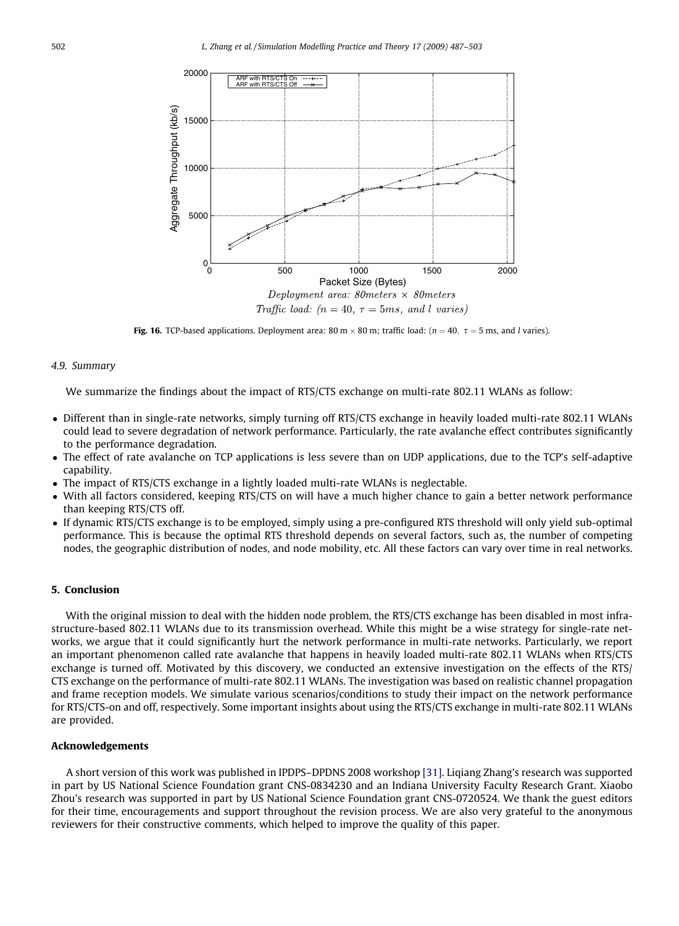<span id="page-15-0"></span>

Fig. 16. TCP-based applications. Deployment area: 80 m  $\times$  80 m; traffic load: (n = 40,  $\tau$  = 5 ms, and l varies).

#### 4.9. Summary

We summarize the findings about the impact of RTS/CTS exchange on multi-rate 802.11 WLANs as follow:

- Different than in single-rate networks, simply turning off RTS/CTS exchange in heavily loaded multi-rate 802.11 WLANs could lead to severe degradation of network performance. Particularly, the rate avalanche effect contributes significantly to the performance degradation.
- The effect of rate avalanche on TCP applications is less severe than on UDP applications, due to the TCP's self-adaptive capability.
- The impact of RTS/CTS exchange in a lightly loaded multi-rate WLANs is neglectable.
- With all factors considered, keeping RTS/CTS on will have a much higher chance to gain a better network performance than keeping RTS/CTS off.
- If dynamic RTS/CTS exchange is to be employed, simply using a pre-configured RTS threshold will only yield sub-optimal performance. This is because the optimal RTS threshold depends on several factors, such as, the number of competing nodes, the geographic distribution of nodes, and node mobility, etc. All these factors can vary over time in real networks.

# 5. Conclusion

With the original mission to deal with the hidden node problem, the RTS/CTS exchange has been disabled in most infrastructure-based 802.11 WLANs due to its transmission overhead. While this might be a wise strategy for single-rate networks, we argue that it could significantly hurt the network performance in multi-rate networks. Particularly, we report an important phenomenon called rate avalanche that happens in heavily loaded multi-rate 802.11 WLANs when RTS/CTS exchange is turned off. Motivated by this discovery, we conducted an extensive investigation on the effects of the RTS/ CTS exchange on the performance of multi-rate 802.11 WLANs. The investigation was based on realistic channel propagation and frame reception models. We simulate various scenarios/conditions to study their impact on the network performance for RTS/CTS-on and off, respectively. Some important insights about using the RTS/CTS exchange in multi-rate 802.11 WLANs are provided.

#### Acknowledgements

A short version of this work was published in IPDPS–DPDNS 2008 workshop [\[31\]](#page-16-0). Liqiang Zhang's research was supported in part by US National Science Foundation grant CNS-0834230 and an Indiana University Faculty Research Grant. Xiaobo Zhou's research was supported in part by US National Science Foundation grant CNS-0720524. We thank the guest editors for their time, encouragements and support throughout the revision process. We are also very grateful to the anonymous reviewers for their constructive comments, which helped to improve the quality of this paper.